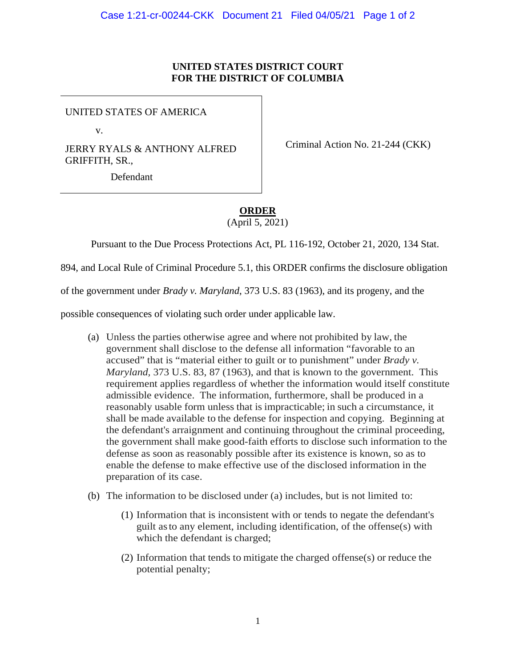## **UNITED STATES DISTRICT COURT FOR THE DISTRICT OF COLUMBIA**

UNITED STATES OF AMERICA

v.

JERRY RYALS & ANTHONY ALFRED GRIFFITH, SR.,

Criminal Action No. 21-244 (CKK)

Defendant

## **ORDER**

(April 5, 2021)

Pursuant to the Due Process Protections Act, PL 116-192, October 21, 2020, 134 Stat.

894, and Local Rule of Criminal Procedure 5.1, this ORDER confirms the disclosure obligation

of the government under *Brady v. Maryland*, 373 U.S. 83 (1963), and its progeny, and the

possible consequences of violating such order under applicable law.

- (a) Unless the parties otherwise agree and where not prohibited by law, the government shall disclose to the defense all information "favorable to an accused" that is "material either to guilt or to punishment" under *Brady v. Maryland,* 373 U.S. 83, 87 (1963), and that is known to the government. This requirement applies regardless of whether the information would itself constitute admissible evidence. The information, furthermore, shall be produced in a reasonably usable form unless that is impracticable; in such a circumstance, it shall be made available to the defense for inspection and copying. Beginning at the defendant's arraignment and continuing throughout the criminal proceeding, the government shall make good-faith efforts to disclose such information to the defense as soon as reasonably possible after its existence is known, so as to enable the defense to make effective use of the disclosed information in the preparation of its case.
- (b) The information to be disclosed under (a) includes, but is not limited to:
	- (1) Information that is inconsistent with or tends to negate the defendant's guilt asto any element, including identification, of the offense(s) with which the defendant is charged;
	- (2) Information that tends to mitigate the charged offense(s) or reduce the potential penalty;